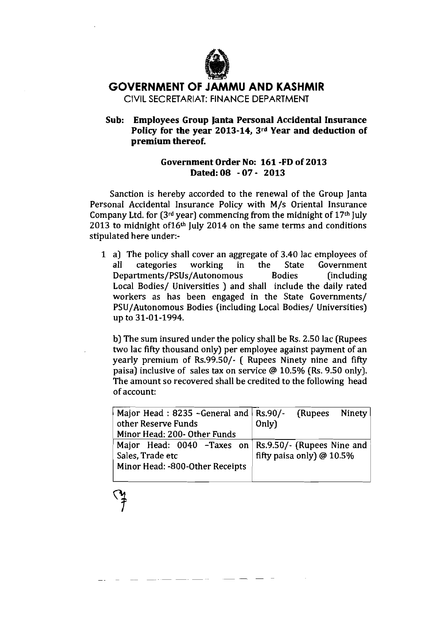

## **GOVERNMENT OF JAMMU AND KASHMIR**

CIVIL SECRETARIAT: FINANCE DEPARTMENT

**Sub: Employees Group lanta Personal Accidental Insurance Policy for the year 2013-14, 3rd Year and deduction of premium thereof.** 

## **Government Order No: 161 -FD of 2013 Dated: 08** - **07- 2013**

Sanction is hereby accorded to the renewal of the Group Janta Personal Accidental Insurance Policy with M/s Oriental Insurance Company Ltd. for  $(3<sup>rd</sup> year)$  commencing from the midnight of  $17<sup>th</sup>$  July 2013 to midnight of  $16<sup>th</sup>$  July 2014 on the same terms and conditions stipulated here under:-

1 a) The policy shall cover an aggregate of 3.40 lac employees of all categories working in the State Government all categories working in the State Government **Departments/PSUs/Autonomous** Bodies (including Local Bodies/ Universities ) and shall include the daily rated workers as has been engaged in the State Governments/ PSU/Autonomous Bodies (including Local Bodies/ Universities) UP to 31-01-1994.

b) The sum insured under the policy shall be **Rs.** 2.50 lac (Rupees two lac fifty thousand only) per employee against payment of an yearly premium of Rs.99.50/- ( Rupees Ninety nine and fifty paisa) inclusive of sales tax on service @ 10.5% (Rs. 9.50 only]. The amount so recovered shall be credited to the following head of account:

| Major Head: $8235$ -General and $\big $ Rs.90/-         |       | (Rupees Ninety)             |  |
|---------------------------------------------------------|-------|-----------------------------|--|
| other Reserve Funds                                     | Only) |                             |  |
| Minor Head: 200- Other Funds                            |       |                             |  |
| Major Head: $0040$ -Taxes on Rs.9.50/- (Rupees Nine and |       |                             |  |
| Sales, Trade etc                                        |       | fifty paisa only) $@10.5\%$ |  |
| Minor Head: -800-Other Receipts                         |       |                             |  |
|                                                         |       |                             |  |